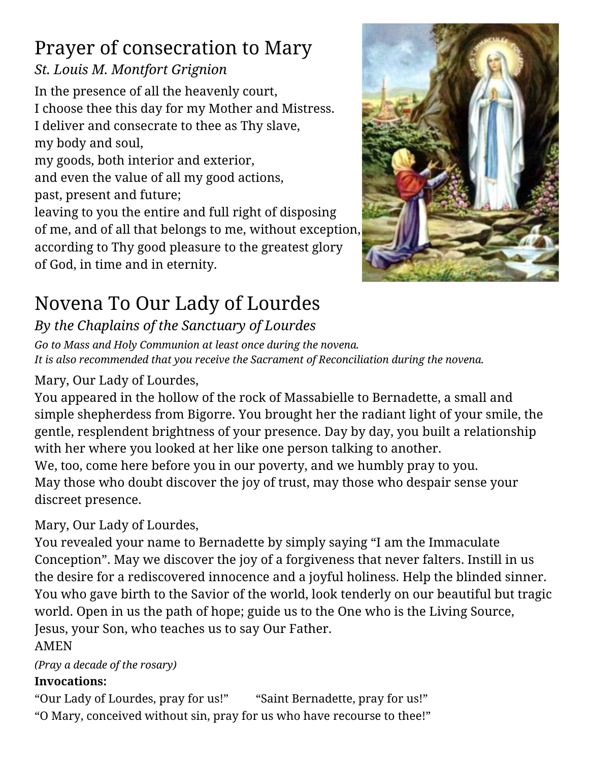# Prayer of consecration to Mary

### *St. Louis M. Montfort Grignion*

In the presence of all the heavenly court, I choose thee this day for my Mother and Mistress. I deliver and consecrate to thee as Thy slave, my body and soul, my goods, both interior and exterior, and even the value of all my good actions, past, present and future;

leaving to you the entire and full right of disposing of me, and of all that belongs to me, without exception, according to Thy good pleasure to the greatest glory of God, in time and in eternity.



# Novena To Our Lady of Lourdes

### *By the Chaplains of the Sanctuary of Lourdes*

*Go to Mass and Holy Communion at least once during the novena. It is also recommended that you receive the Sacrament of Reconciliation during the novena.*

### Mary, Our Lady of Lourdes,

You appeared in the hollow of the rock of Massabielle to Bernadette, a small and simple shepherdess from Bigorre. You brought her the radiant light of your smile, the gentle, resplendent brightness of your presence. Day by day, you built a relationship with her where you looked at her like one person talking to another. We, too, come here before you in our poverty, and we humbly pray to you. May those who doubt discover the joy of trust, may those who despair sense your discreet presence.

#### Mary, Our Lady of Lourdes,

You revealed your name to Bernadette by simply saying "I am the Immaculate Conception". May we discover the joy of a forgiveness that never falters. Instill in us the desire for a rediscovered innocence and a joyful holiness. Help the blinded sinner. You who gave birth to the Savior of the world, look tenderly on our beautiful but tragic world. Open in us the path of hope; guide us to the One who is the Living Source, Jesus, your Son, who teaches us to say Our Father.

#### AMEN

*(Pray a decade of the rosary)*

#### **Invocations:**

"Our Lady of Lourdes, pray for us!" "Saint Bernadette, pray for us!" "O Mary, conceived without sin, pray for us who have recourse to thee!"